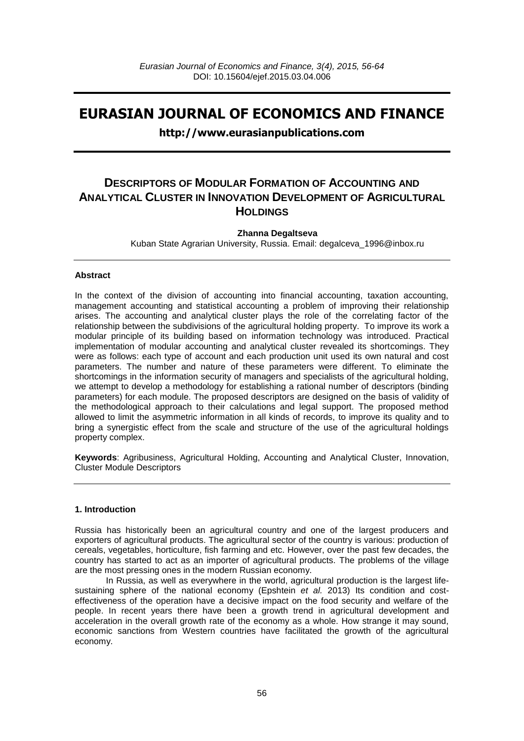# **EURASIAN JOURNAL OF ECONOMICS AND FINANCE**

## **http://www.eurasianpublications.com**

## **DESCRIPTORS OF MODULAR FORMATION OF ACCOUNTING AND ANALYTICAL CLUSTER IN INNOVATION DEVELOPMENT OF AGRICULTURAL HOLDINGS**

## **Zhanna Degaltseva**

Kuban State Agrarian University, Russia. Email: [degalceva\\_1996@inbox.ru](mailto:degalceva_1996@inbox.ru)

## **Abstract**

In the context of the division of accounting into financial accounting, taxation accounting, management accounting and statistical accounting a problem of improving their relationship arises. The accounting and analytical cluster plays the role of the correlating factor of the relationship between the subdivisions of the agricultural holding property. To improve its work a modular principle of its building based on information technology was introduced. Practical implementation of modular accounting and analytical cluster revealed its shortcomings. They were as follows: each type of account and each production unit used its own natural and cost parameters. The number and nature of these parameters were different. To eliminate the shortcomings in the information security of managers and specialists of the agricultural holding, we attempt to develop a methodology for establishing a rational number of descriptors (binding parameters) for each module. The proposed descriptors are designed on the basis of validity of the methodological approach to their calculations and legal support. The proposed method allowed to limit the asymmetric information in all kinds of records, to improve its quality and to bring a synergistic effect from the scale and structure of the use of the agricultural holdings property complex.

**Keywords**: Agribusiness, Agricultural Holding, Accounting and Analytical Cluster, Innovation, Cluster Module Descriptors

#### **1. Introduction**

Russia has historically been an agricultural country and one of the largest producers and exporters of agricultural products. The agricultural sector of the country is various: production of cereals, vegetables, horticulture, fish farming and etc. However, over the past few decades, the country has started to act as an importer of agricultural products. The problems of the village are the most pressing ones in the modern Russian economy.

In Russia, as well as everywhere in the world, agricultural production is the largest lifesustaining sphere of the national economy (Epshtein *et al.* 2013) Its condition and costeffectiveness of the operation have a decisive impact on the food security and welfare of the people. In recent years there have been a growth trend in agricultural development and acceleration in the overall growth rate of the economy as a whole. How strange it may sound, economic sanctions from Western countries have facilitated the growth of the agricultural economy.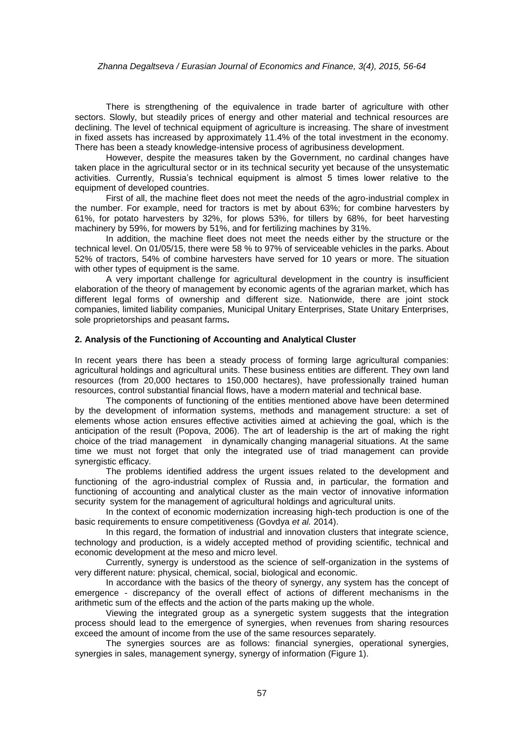#### *Zhanna Degaltseva / Eurasian Journal of Economics and Finance, 3(4), 2015, 56-64*

There is strengthening of the equivalence in trade barter of agriculture with other sectors. Slowly, but steadily prices of energy and other material and technical resources are declining. The level of technical equipment of agriculture is increasing. The share of investment in fixed assets has increased by approximately 11.4% of the total investment in the economy. There has been a steady knowledge-intensive process of agribusiness development.

However, despite the measures taken by the Government, no cardinal changes have taken place in the agricultural sector or in its technical security yet because of the unsystematic activities. Currently, Russia's technical equipment is almost 5 times lower relative to the equipment of developed countries.

First of all, the machine fleet does not meet the needs of the agro-industrial complex in the number. For example, need for tractors is met by about 63%; for combine harvesters by 61%, for potato harvesters by 32%, for plows 53%, for tillers by 68%, for beet harvesting machinery by 59%, for mowers by 51%, and for fertilizing machines by 31%.

In addition, the machine fleet does not meet the needs either by the structure or the technical level. On 01/05/15, there were 58 % to 97% of serviceable vehicles in the parks. About 52% of tractors, 54% of combine harvesters have served for 10 years or more. The situation with other types of equipment is the same.

A very important challenge for agricultural development in the country is insufficient elaboration of the theory of management by economic agents of the agrarian market, which has different legal forms of ownership and different size. Nationwide, there are joint stock companies, limited liability companies, Municipal Unitary Enterprises, State Unitary Enterprises, sole proprietorships and peasant farms**.**

#### **2. Analysis of the Functioning of Accounting and Analytical Cluster**

In recent years there has been a steady process of forming large agricultural companies: agricultural holdings and agricultural units. These business entities are different. They own land resources (from 20,000 hectares to 150,000 hectares), have professionally trained human resources, control substantial financial flows, have a modern material and technical base.

The components of functioning of the entities mentioned above have been determined by the development of information systems, methods and management structure: a set of elements whose action ensures effective activities aimed at achieving the goal, which is the anticipation of the result (Popova, 2006). The art of leadership is the art of making the right choice of the triad management in dynamically changing managerial situations. At the same time we must not forget that only the integrated use of triad management can provide synergistic efficacy.

The problems identified address the urgent issues related to the development and functioning of the agro-industrial complex of Russia and, in particular, the formation and functioning of accounting and analytical cluster as the main vector of innovative information security system for the management of agricultural holdings and agricultural units.

In the context of economic modernization increasing high-tech production is one of the basic requirements to ensure competitiveness (Govdya *et al.* 2014).

In this regard, the formation of industrial and innovation clusters that integrate science, technology and production, is a widely accepted method of providing scientific, technical and economic development at the meso and micro level.

Currently, synergy is understood as the science of self-organization in the systems of very different nature: physical, chemical, social, biological and economic.

In accordance with the basics of the theory of synergy, any system has the concept of emergence - discrepancy of the overall effect of actions of different mechanisms in the arithmetic sum of the effects and the action of the parts making up the whole.

Viewing the integrated group as a synergetic system suggests that the integration process should lead to the emergence of synergies, when revenues from sharing resources exceed the amount of income from the use of the same resources separately.

The synergies sources are as follows: financial synergies, operational synergies, synergies in sales, management synergy, synergy of information (Figure 1).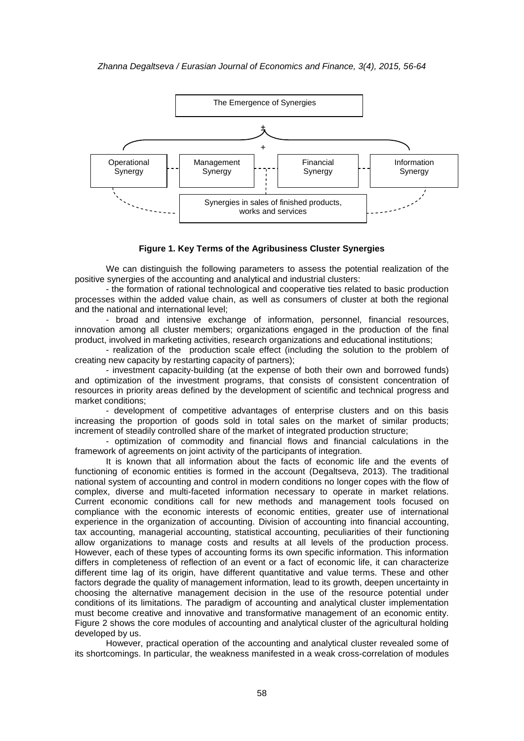#### *Zhanna Degaltseva / Eurasian Journal of Economics and Finance, 3(4), 2015, 56-64*



#### **Figure 1. Key Terms of the Agribusiness Cluster Synergies**

We can distinguish the following parameters to assess the potential realization of the positive synergies of the accounting and analytical and industrial clusters:

- the formation of rational technological and cooperative ties related to basic production processes within the added value chain, as well as consumers of cluster at both the regional and the national and international level;

- broad and intensive exchange of information, personnel, financial resources, innovation among all cluster members; organizations engaged in the production of the final product, involved in marketing activities, research organizations and educational institutions;

- realization of the production scale effect (including the solution to the problem of creating new capacity by restarting capacity of partners);

- investment capacity-building (at the expense of both their own and borrowed funds) and optimization of the investment programs, that consists of consistent concentration of resources in priority areas defined by the development of scientific and technical progress and market conditions;

- development of competitive advantages of enterprise clusters and on this basis increasing the proportion of goods sold in total sales on the market of similar products; increment of steadily controlled share of the market of integrated production structure;

- optimization of commodity and financial flows and financial calculations in the framework of agreements on joint activity of the participants of integration.

It is known that all information about the facts of economic life and the events of functioning of economic entities is formed in the account (Degaltseva, 2013). The traditional national system of accounting and control in modern conditions no longer copes with the flow of complex, diverse and multi-faceted information necessary to operate in market relations. Current economic conditions call for new methods and management tools focused on compliance with the economic interests of economic entities, greater use of international experience in the organization of accounting. Division of accounting into financial accounting, tax accounting, managerial accounting, statistical accounting, peculiarities of their functioning allow organizations to manage costs and results at all levels of the production process. However, each of these types of accounting forms its own specific information. This information differs in completeness of reflection of an event or a fact of economic life, it can characterize different time lag of its origin, have different quantitative and value terms. These and other factors degrade the quality of management information, lead to its growth, deepen uncertainty in choosing the alternative management decision in the use of the resource potential under conditions of its limitations. The paradigm of accounting and analytical cluster implementation must become creative and innovative and transformative management of an economic entity. Figure 2 shows the core modules of accounting and analytical cluster of the agricultural holding developed by us.

However, practical operation of the accounting and analytical cluster revealed some of its shortcomings. In particular, the weakness manifested in a weak cross-correlation of modules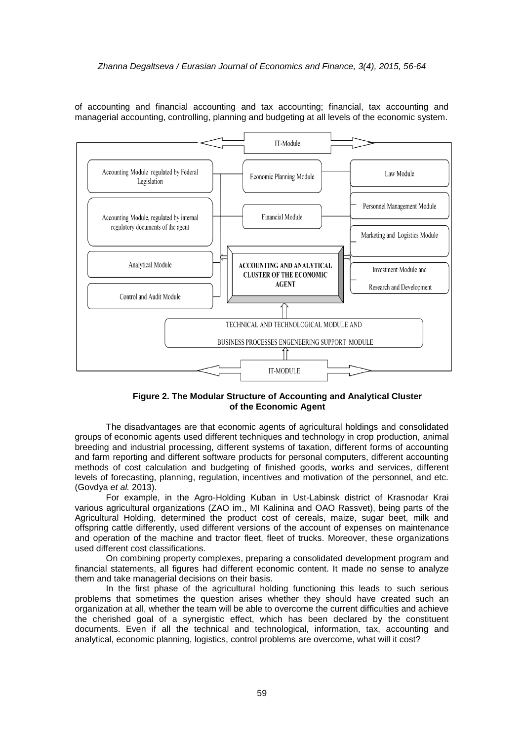of accounting and financial accounting and tax accounting; financial, tax accounting and managerial accounting, controlling, planning and budgeting at all levels of the economic system.



## **Figure 2. The Modular Structure of Accounting and Analytical Cluster of the Economic Agent**

The disadvantages are that economic agents of agricultural holdings and consolidated groups of economic agents used different techniques and technology in crop production, animal breeding and industrial processing, different systems of taxation, different forms of accounting and farm reporting and different software products for personal computers, different accounting methods of cost calculation and budgeting of finished goods, works and services, different levels of forecasting, planning, regulation, incentives and motivation of the personnel, and etc. (Govdya *et al.* 2013).

For example, in the Agro-Holding Kuban in Ust-Labinsk district of Krasnodar Krai various agricultural organizations (ZAO im., MI Kalinina and OAO Rassvet), being parts of the Agricultural Holding, determined the product cost of cereals, maize, sugar beet, milk and offspring cattle differently, used different versions of the account of expenses on maintenance and operation of the machine and tractor fleet, fleet of trucks. Moreover, these organizations used different cost classifications.

On combining property complexes, preparing a consolidated development program and financial statements, all figures had different economic content. It made no sense to analyze them and take managerial decisions on their basis.

In the first phase of the agricultural holding functioning this leads to such serious problems that sometimes the question arises whether they should have created such an organization at all, whether the team will be able to overcome the current difficulties and achieve the cherished goal of a synergistic effect, which has been declared by the constituent documents. Even if all the technical and technological, information, tax, accounting and analytical, economic planning, logistics, control problems are overcome, what will it cost?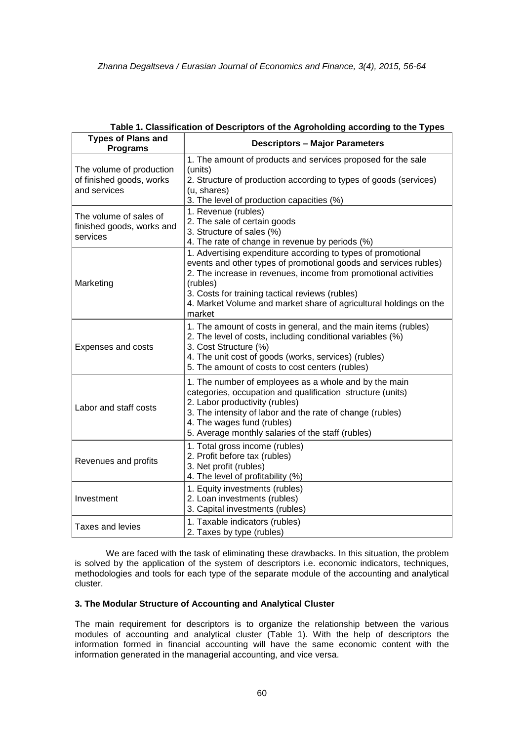| <b>Types of Plans and</b><br><b>Programs</b>                         | <b>Descriptors - Major Parameters</b>                                                                                                                                                                                                                                                                                                             |  |  |
|----------------------------------------------------------------------|---------------------------------------------------------------------------------------------------------------------------------------------------------------------------------------------------------------------------------------------------------------------------------------------------------------------------------------------------|--|--|
| The volume of production<br>of finished goods, works<br>and services | 1. The amount of products and services proposed for the sale<br>(units)<br>2. Structure of production according to types of goods (services)<br>(u, shares)<br>3. The level of production capacities (%)                                                                                                                                          |  |  |
| The volume of sales of<br>finished goods, works and<br>services      | 1. Revenue (rubles)<br>2. The sale of certain goods<br>3. Structure of sales (%)<br>4. The rate of change in revenue by periods (%)                                                                                                                                                                                                               |  |  |
| Marketing                                                            | 1. Advertising expenditure according to types of promotional<br>events and other types of promotional goods and services rubles)<br>2. The increase in revenues, income from promotional activities<br>(rubles)<br>3. Costs for training tactical reviews (rubles)<br>4. Market Volume and market share of agricultural holdings on the<br>market |  |  |
| Expenses and costs                                                   | 1. The amount of costs in general, and the main items (rubles)<br>2. The level of costs, including conditional variables (%)<br>3. Cost Structure (%)<br>4. The unit cost of goods (works, services) (rubles)<br>5. The amount of costs to cost centers (rubles)                                                                                  |  |  |
| Labor and staff costs                                                | 1. The number of employees as a whole and by the main<br>categories, occupation and qualification structure (units)<br>2. Labor productivity (rubles)<br>3. The intensity of labor and the rate of change (rubles)<br>4. The wages fund (rubles)<br>5. Average monthly salaries of the staff (rubles)                                             |  |  |
| Revenues and profits                                                 | 1. Total gross income (rubles)<br>2. Profit before tax (rubles)<br>3. Net profit (rubles)<br>4. The level of profitability (%)                                                                                                                                                                                                                    |  |  |
| Investment                                                           | 1. Equity investments (rubles)<br>2. Loan investments (rubles)<br>3. Capital investments (rubles)                                                                                                                                                                                                                                                 |  |  |
| Taxes and levies                                                     | 1. Taxable indicators (rubles)<br>2. Taxes by type (rubles)                                                                                                                                                                                                                                                                                       |  |  |

**Table 1. Classification of Descriptors of the Agroholding according to the Types**

We are faced with the task of eliminating these drawbacks. In this situation, the problem is solved by the application of the system of descriptors i.e. economic indicators, techniques, methodologies and tools for each type of the separate module of the accounting and analytical cluster.

## **3. The Modular Structure of Accounting and Analytical Cluster**

The main requirement for descriptors is to organize the relationship between the various modules of accounting and analytical cluster (Table 1). With the help of descriptors the information formed in financial accounting will have the same economic content with the information generated in the managerial accounting, and vice versa.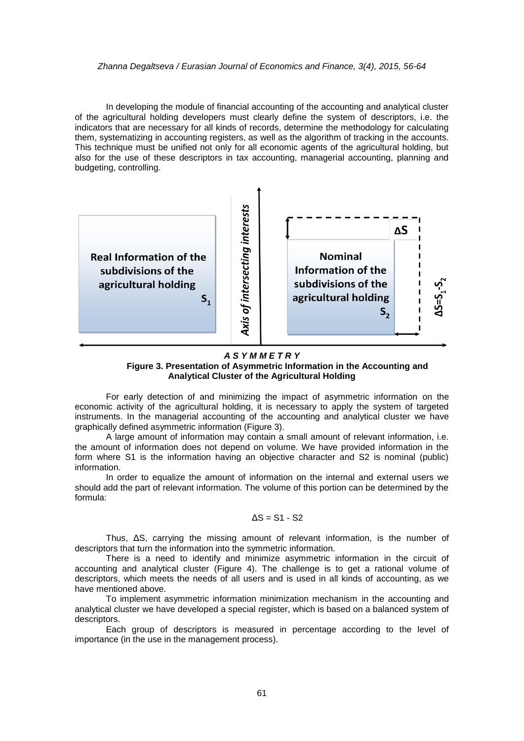#### *Zhanna Degaltseva / Eurasian Journal of Economics and Finance, 3(4), 2015, 56-64*

In developing the module of financial accounting of the accounting and analytical cluster of the agricultural holding developers must clearly define the system of descriptors, i.e. the indicators that are necessary for all kinds of records, determine the methodology for calculating them, systematizing in accounting registers, as well as the algorithm of tracking in the accounts. This technique must be unified not only for all economic agents of the agricultural holding, but also for the use of these descriptors in tax accounting, managerial accounting, planning and budgeting, controlling.



#### *A S Y M M E T R Y* **Figure 3. Presentation of Asymmetric Information in the Accounting and Analytical Cluster of the Agricultural Holding**

For early detection of and minimizing the impact of asymmetric information on the economic activity of the agricultural holding, it is necessary to apply the system of targeted instruments. In the managerial accounting of the accounting and analytical cluster we have graphically defined asymmetric information (Figure 3).

A large amount of information may contain a small amount of relevant information, i.e. the amount of information does not depend on volume. We have provided information in the form where S1 is the information having an objective character and S2 is nominal (public) information.

In order to equalize the amount of information on the internal and external users we should add the part of relevant information. The volume of this portion can be determined by the formula:

## $ΔS = S1 - S2$

Thus, ΔS, carrying the missing amount of relevant information, is the number of descriptors that turn the information into the symmetric information.

There is a need to identify and minimize asymmetric information in the circuit of accounting and analytical cluster (Figure 4). The challenge is to get a rational volume of descriptors, which meets the needs of all users and is used in all kinds of accounting, as we have mentioned above.

To implement asymmetric information minimization mechanism in the accounting and analytical cluster we have developed a special register, which is based on a balanced system of descriptors.

Each group of descriptors is measured in percentage according to the level of importance (in the use in the management process).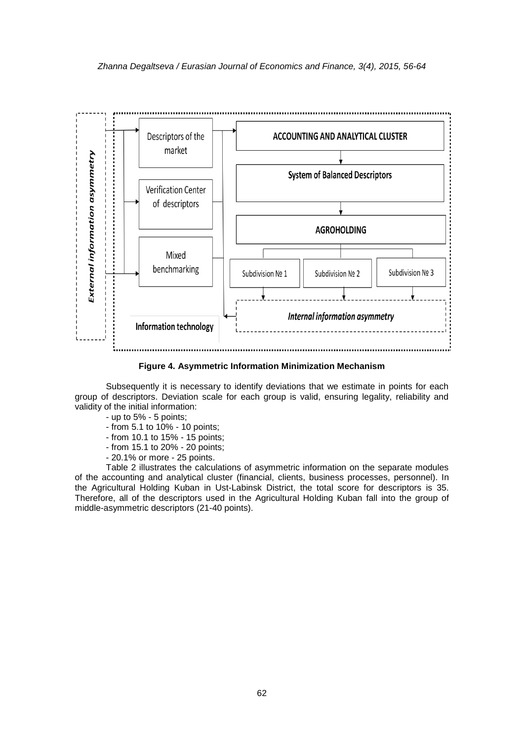

**Figure 4. Asymmetric Information Minimization Mechanism**

Subsequently it is necessary to identify deviations that we estimate in points for each group of descriptors. Deviation scale for each group is valid, ensuring legality, reliability and validity of the initial information:

- up to 5% - 5 points;

- from 5.1 to 10% 10 points;
- from 10.1 to 15% 15 points;
- from 15.1 to 20% 20 points;
- 20.1% or more 25 points.

Table 2 illustrates the calculations of asymmetric information on the separate modules of the accounting and analytical cluster (financial, clients, business processes, personnel). In the Agricultural Holding Kuban in Ust-Labinsk District, the total score for descriptors is 35. Therefore, all of the descriptors used in the Agricultural Holding Kuban fall into the group of middle-asymmetric descriptors (21-40 points).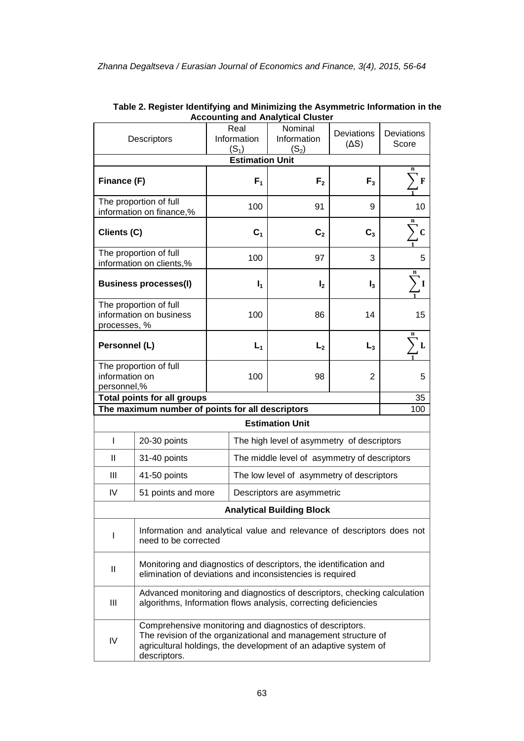| Descriptors                                                                                                                                                                                                         |                                                                                                                                             | Real<br>Information    |                                              | Accounting and Analytical Gluster<br>Nominal<br>Information | Deviations<br>(AS) | <b>Deviations</b><br>Score |  |
|---------------------------------------------------------------------------------------------------------------------------------------------------------------------------------------------------------------------|---------------------------------------------------------------------------------------------------------------------------------------------|------------------------|----------------------------------------------|-------------------------------------------------------------|--------------------|----------------------------|--|
|                                                                                                                                                                                                                     |                                                                                                                                             | $(S_1)$                |                                              | $(S_2)$                                                     |                    |                            |  |
|                                                                                                                                                                                                                     |                                                                                                                                             | <b>Estimation Unit</b> |                                              |                                                             |                    | n                          |  |
| Finance (F)                                                                                                                                                                                                         |                                                                                                                                             |                        | F <sub>1</sub>                               | F <sub>2</sub>                                              | $F_3$              | F                          |  |
| The proportion of full<br>information on finance,%                                                                                                                                                                  |                                                                                                                                             | 100                    |                                              | 91                                                          | 9                  | 10                         |  |
| Clients (C)                                                                                                                                                                                                         |                                                                                                                                             |                        | C <sub>1</sub>                               | C <sub>2</sub>                                              | C <sub>3</sub>     | n<br>C                     |  |
| The proportion of full<br>information on clients,%                                                                                                                                                                  |                                                                                                                                             | 100                    |                                              | 97                                                          | 3                  | 5                          |  |
| <b>Business processes(I)</b>                                                                                                                                                                                        |                                                                                                                                             |                        | $I_1$                                        | $\mathsf{I}_2$                                              | $I_3$              | n                          |  |
| The proportion of full<br>information on business<br>processes, %                                                                                                                                                   |                                                                                                                                             | 100                    |                                              | 86                                                          | 14                 | 15                         |  |
| Personnel (L)                                                                                                                                                                                                       |                                                                                                                                             |                        | $L_1$                                        | $L_{2}$                                                     | L <sub>3</sub>     | ) L                        |  |
| The proportion of full<br>information on<br>personnel,%                                                                                                                                                             |                                                                                                                                             | 100                    |                                              | 98                                                          | $\overline{2}$     | 5                          |  |
| <b>Total points for all groups</b>                                                                                                                                                                                  |                                                                                                                                             |                        |                                              |                                                             | 35                 |                            |  |
| The maximum number of points for all descriptors                                                                                                                                                                    |                                                                                                                                             |                        |                                              |                                                             |                    | 100                        |  |
| <b>Estimation Unit</b>                                                                                                                                                                                              |                                                                                                                                             |                        |                                              |                                                             |                    |                            |  |
| L                                                                                                                                                                                                                   | 20-30 points                                                                                                                                |                        | The high level of asymmetry of descriptors   |                                                             |                    |                            |  |
| $\mathbf{I}$                                                                                                                                                                                                        | 31-40 points                                                                                                                                |                        | The middle level of asymmetry of descriptors |                                                             |                    |                            |  |
| Ш                                                                                                                                                                                                                   | 41-50 points                                                                                                                                |                        | The low level of asymmetry of descriptors    |                                                             |                    |                            |  |
| IV                                                                                                                                                                                                                  | 51 points and more                                                                                                                          |                        | Descriptors are asymmetric                   |                                                             |                    |                            |  |
| <b>Analytical Building Block</b>                                                                                                                                                                                    |                                                                                                                                             |                        |                                              |                                                             |                    |                            |  |
| I                                                                                                                                                                                                                   | Information and analytical value and relevance of descriptors does not<br>need to be corrected                                              |                        |                                              |                                                             |                    |                            |  |
| Ш                                                                                                                                                                                                                   | Monitoring and diagnostics of descriptors, the identification and<br>elimination of deviations and inconsistencies is required              |                        |                                              |                                                             |                    |                            |  |
| Ш                                                                                                                                                                                                                   | Advanced monitoring and diagnostics of descriptors, checking calculation<br>algorithms, Information flows analysis, correcting deficiencies |                        |                                              |                                                             |                    |                            |  |
| Comprehensive monitoring and diagnostics of descriptors.<br>The revision of the organizational and management structure of<br>IV<br>agricultural holdings, the development of an adaptive system of<br>descriptors. |                                                                                                                                             |                        |                                              |                                                             |                    |                            |  |

| Table 2. Register Identifying and Minimizing the Asymmetric Information in the |
|--------------------------------------------------------------------------------|
| <b>Accounting and Analytical Cluster</b>                                       |